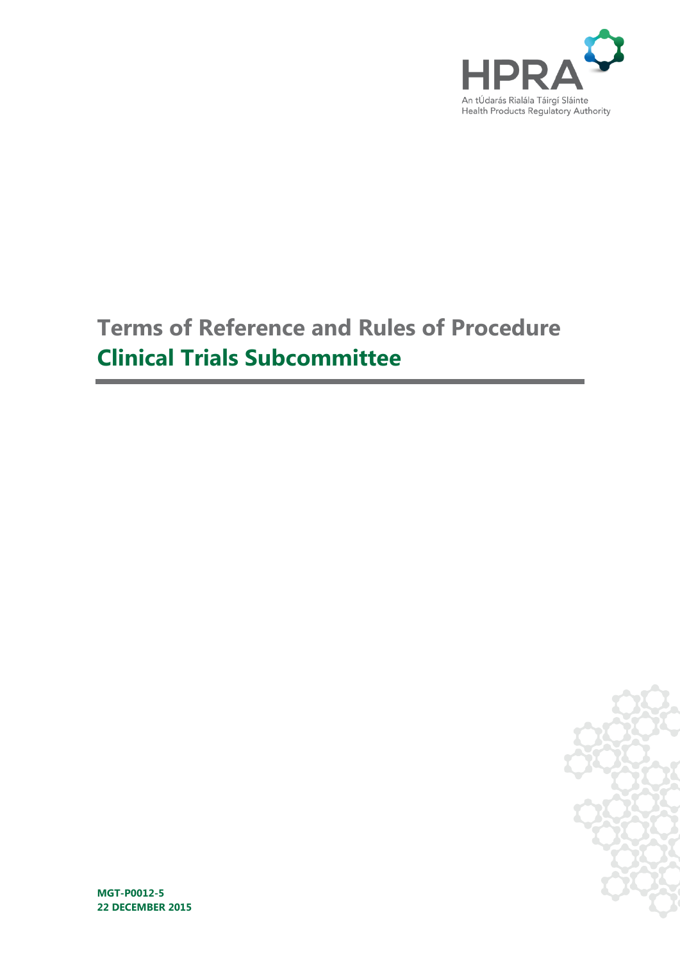

# **Terms of Reference and Rules of Procedure Clinical Trials Subcommittee**



**MGT-P0012-5 22 DECEMBER 2015**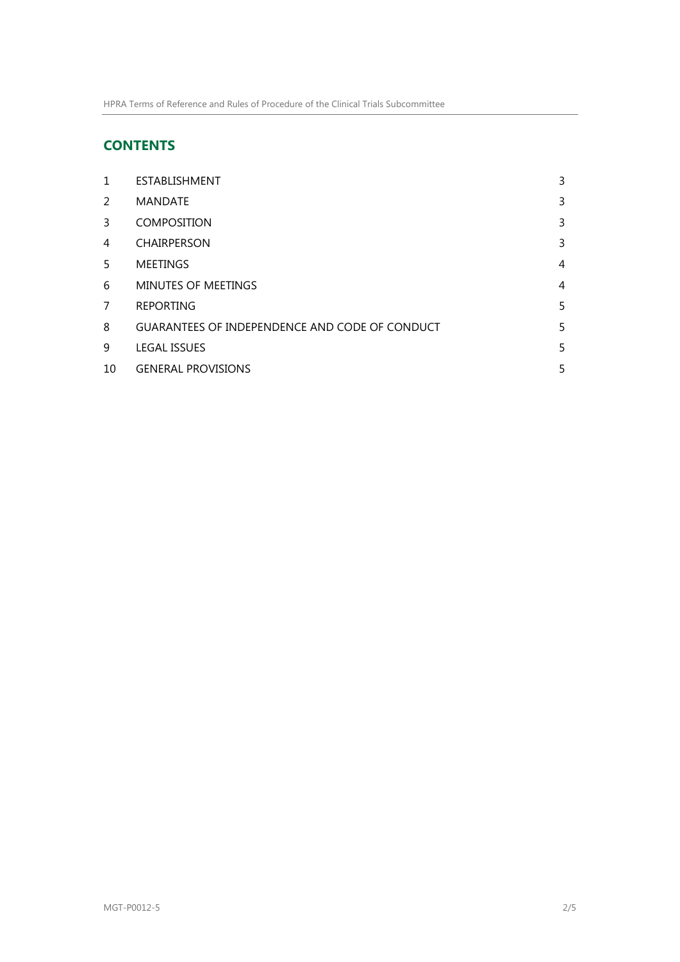# **CONTENTS**

| 1  | ESTABLISHMENT                                         | 3 |
|----|-------------------------------------------------------|---|
| 2  | <b>MANDATE</b>                                        | 3 |
| 3  | <b>COMPOSITION</b>                                    | 3 |
| 4  | <b>CHAIRPERSON</b>                                    | 3 |
| 5  | <b>MEETINGS</b>                                       | 4 |
| 6  | <b>MINUTES OF MEETINGS</b>                            | 4 |
| 7  | <b>REPORTING</b>                                      | 5 |
| 8  | <b>GUARANTEES OF INDEPENDENCE AND CODE OF CONDUCT</b> | 5 |
| 9  | <b>LEGAL ISSUES</b>                                   | 5 |
| 10 | <b>GENERAL PROVISIONS</b>                             | 5 |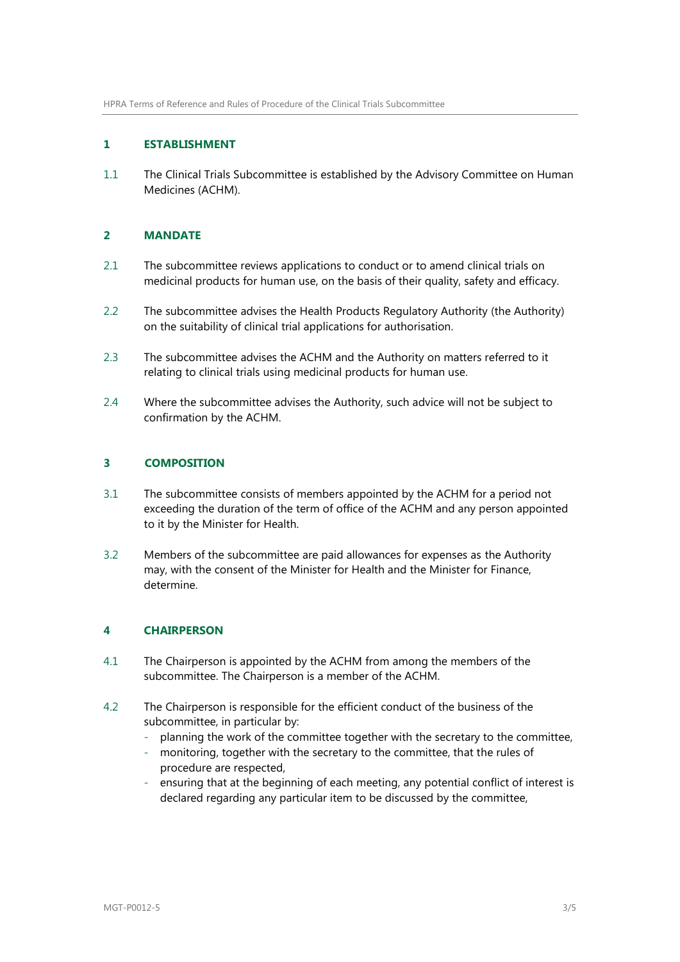#### <span id="page-2-0"></span>**1 ESTABLISHMENT**

1.1 The Clinical Trials Subcommittee is established by the Advisory Committee on Human Medicines (ACHM).

# <span id="page-2-1"></span>**2 MANDATE**

- 2.1 The subcommittee reviews applications to conduct or to amend clinical trials on medicinal products for human use, on the basis of their quality, safety and efficacy.
- 2.2 The subcommittee advises the Health Products Regulatory Authority (the Authority) on the suitability of clinical trial applications for authorisation.
- 2.3 The subcommittee advises the ACHM and the Authority on matters referred to it relating to clinical trials using medicinal products for human use.
- 2.4 Where the subcommittee advises the Authority, such advice will not be subject to confirmation by the ACHM.

### <span id="page-2-2"></span>**3 COMPOSITION**

- 3.1 The subcommittee consists of members appointed by the ACHM for a period not exceeding the duration of the term of office of the ACHM and any person appointed to it by the Minister for Health.
- 3.2 Members of the subcommittee are paid allowances for expenses as the Authority may, with the consent of the Minister for Health and the Minister for Finance, determine.

# <span id="page-2-3"></span>**4 CHAIRPERSON**

- 4.1 The Chairperson is appointed by the ACHM from among the members of the subcommittee. The Chairperson is a member of the ACHM.
- 4.2 The Chairperson is responsible for the efficient conduct of the business of the subcommittee, in particular by:
	- planning the work of the committee together with the secretary to the committee,
	- monitoring, together with the secretary to the committee, that the rules of procedure are respected,
	- ensuring that at the beginning of each meeting, any potential conflict of interest is declared regarding any particular item to be discussed by the committee,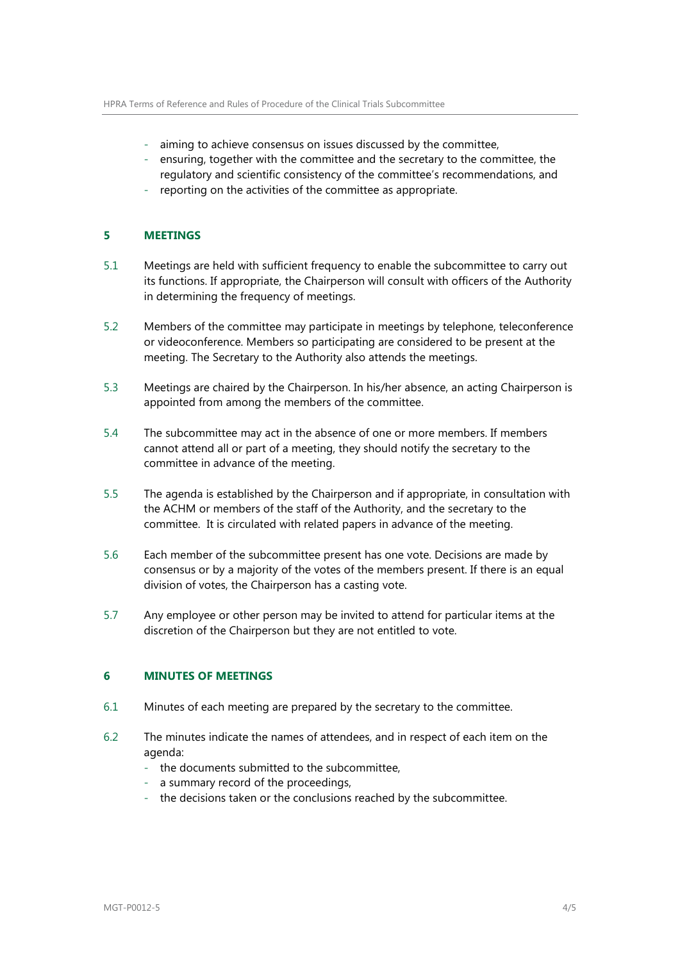- aiming to achieve consensus on issues discussed by the committee,
- ensuring, together with the committee and the secretary to the committee, the regulatory and scientific consistency of the committee's recommendations, and
- reporting on the activities of the committee as appropriate.

#### <span id="page-3-0"></span>**5 MEETINGS**

- 5.1 Meetings are held with sufficient frequency to enable the subcommittee to carry out its functions. If appropriate, the Chairperson will consult with officers of the Authority in determining the frequency of meetings.
- 5.2 Members of the committee may participate in meetings by telephone, teleconference or videoconference. Members so participating are considered to be present at the meeting. The Secretary to the Authority also attends the meetings.
- 5.3 Meetings are chaired by the Chairperson. In his/her absence, an acting Chairperson is appointed from among the members of the committee.
- 5.4 The subcommittee may act in the absence of one or more members. If members cannot attend all or part of a meeting, they should notify the secretary to the committee in advance of the meeting.
- 5.5 The agenda is established by the Chairperson and if appropriate, in consultation with the ACHM or members of the staff of the Authority, and the secretary to the committee. It is circulated with related papers in advance of the meeting.
- 5.6 Each member of the subcommittee present has one vote. Decisions are made by consensus or by a majority of the votes of the members present. If there is an equal division of votes, the Chairperson has a casting vote.
- 5.7 Any employee or other person may be invited to attend for particular items at the discretion of the Chairperson but they are not entitled to vote.

#### <span id="page-3-1"></span>**6 MINUTES OF MEETINGS**

- 6.1 Minutes of each meeting are prepared by the secretary to the committee.
- 6.2 The minutes indicate the names of attendees, and in respect of each item on the agenda:
	- the documents submitted to the subcommittee,
	- a summary record of the proceedings,
	- the decisions taken or the conclusions reached by the subcommittee.